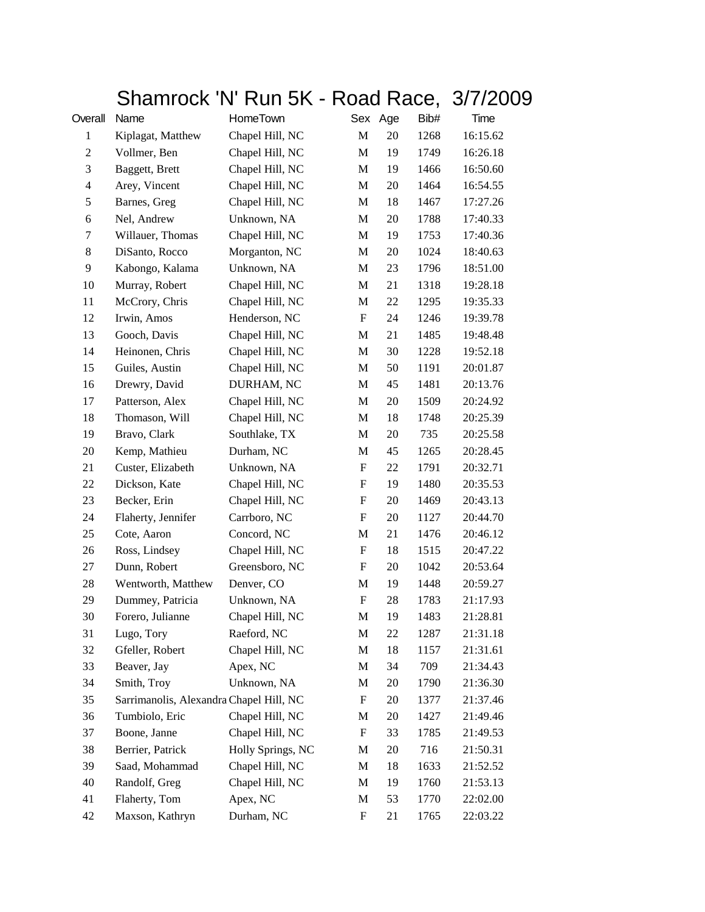## Shamrock 'N' Run 5K - Road Race, 3/7/2009

| Overall          | Name                                    | HomeTown          |                           | Sex Age | Bib# | Time     |
|------------------|-----------------------------------------|-------------------|---------------------------|---------|------|----------|
| $\mathbf{1}$     | Kiplagat, Matthew                       | Chapel Hill, NC   | $\mathbf M$               | 20      | 1268 | 16:15.62 |
| $\boldsymbol{2}$ | Vollmer, Ben                            | Chapel Hill, NC   | M                         | 19      | 1749 | 16:26.18 |
| 3                | Baggett, Brett                          | Chapel Hill, NC   | M                         | 19      | 1466 | 16:50.60 |
| $\overline{4}$   | Arey, Vincent                           | Chapel Hill, NC   | M                         | 20      | 1464 | 16:54.55 |
| 5                | Barnes, Greg                            | Chapel Hill, NC   | M                         | 18      | 1467 | 17:27.26 |
| 6                | Nel, Andrew                             | Unknown, NA       | $\mathbf M$               | 20      | 1788 | 17:40.33 |
| 7                | Willauer, Thomas                        | Chapel Hill, NC   | M                         | 19      | 1753 | 17:40.36 |
| $8\,$            | DiSanto, Rocco                          | Morganton, NC     | M                         | 20      | 1024 | 18:40.63 |
| 9                | Kabongo, Kalama                         | Unknown, NA       | M                         | 23      | 1796 | 18:51.00 |
| 10               | Murray, Robert                          | Chapel Hill, NC   | M                         | 21      | 1318 | 19:28.18 |
| 11               | McCrory, Chris                          | Chapel Hill, NC   | M                         | 22      | 1295 | 19:35.33 |
| 12               | Irwin, Amos                             | Henderson, NC     | $\boldsymbol{\mathrm{F}}$ | 24      | 1246 | 19:39.78 |
| 13               | Gooch, Davis                            | Chapel Hill, NC   | M                         | 21      | 1485 | 19:48.48 |
| 14               | Heinonen, Chris                         | Chapel Hill, NC   | M                         | 30      | 1228 | 19:52.18 |
| 15               | Guiles, Austin                          | Chapel Hill, NC   | M                         | 50      | 1191 | 20:01.87 |
| 16               | Drewry, David                           | DURHAM, NC        | $\mathbf M$               | 45      | 1481 | 20:13.76 |
| 17               | Patterson, Alex                         | Chapel Hill, NC   | M                         | 20      | 1509 | 20:24.92 |
| 18               | Thomason, Will                          | Chapel Hill, NC   | M                         | 18      | 1748 | 20:25.39 |
| 19               | Bravo, Clark                            | Southlake, TX     | M                         | 20      | 735  | 20:25.58 |
| 20               | Kemp, Mathieu                           | Durham, NC        | M                         | 45      | 1265 | 20:28.45 |
| 21               | Custer, Elizabeth                       | Unknown, NA       | $\boldsymbol{\mathrm{F}}$ | 22      | 1791 | 20:32.71 |
| 22               | Dickson, Kate                           | Chapel Hill, NC   | $\boldsymbol{\mathrm{F}}$ | 19      | 1480 | 20:35.53 |
| 23               | Becker, Erin                            | Chapel Hill, NC   | F                         | 20      | 1469 | 20:43.13 |
| 24               | Flaherty, Jennifer                      | Carrboro, NC      | F                         | 20      | 1127 | 20:44.70 |
| 25               | Cote, Aaron                             | Concord, NC       | M                         | 21      | 1476 | 20:46.12 |
| 26               | Ross, Lindsey                           | Chapel Hill, NC   | $\boldsymbol{\mathrm{F}}$ | 18      | 1515 | 20:47.22 |
| 27               | Dunn, Robert                            | Greensboro, NC    | $\boldsymbol{\mathrm{F}}$ | 20      | 1042 | 20:53.64 |
| $28\,$           | Wentworth, Matthew                      | Denver, CO        | M                         | 19      | 1448 | 20:59.27 |
| 29               | Dummey, Patricia                        | Unknown, NA       | F                         | 28      | 1783 | 21:17.93 |
| 30               | Forero, Julianne                        | Chapel Hill, NC   | M                         | 19      | 1483 | 21:28.81 |
| 31               | Lugo, Tory                              | Raeford, NC       | M                         | 22      | 1287 | 21:31.18 |
| 32               | Gfeller, Robert                         | Chapel Hill, NC   | M                         | 18      | 1157 | 21:31.61 |
| 33               | Beaver, Jay                             | Apex, NC          | M                         | 34      | 709  | 21:34.43 |
| 34               | Smith, Troy                             | Unknown, NA       | M                         | 20      | 1790 | 21:36.30 |
| 35               | Sarrimanolis, Alexandra Chapel Hill, NC |                   | F                         | 20      | 1377 | 21:37.46 |
| 36               | Tumbiolo, Eric                          | Chapel Hill, NC   | M                         | 20      | 1427 | 21:49.46 |
| 37               | Boone, Janne                            | Chapel Hill, NC   | $\mathbf F$               | 33      | 1785 | 21:49.53 |
| 38               | Berrier, Patrick                        | Holly Springs, NC | M                         | 20      | 716  | 21:50.31 |
| 39               | Saad, Mohammad                          | Chapel Hill, NC   | M                         | 18      | 1633 | 21:52.52 |
| 40               | Randolf, Greg                           | Chapel Hill, NC   | M                         | 19      | 1760 | 21:53.13 |
| 41               | Flaherty, Tom                           | Apex, NC          | M                         | 53      | 1770 | 22:02.00 |
| 42               | Maxson, Kathryn                         | Durham, NC        | $\boldsymbol{F}$          | 21      | 1765 | 22:03.22 |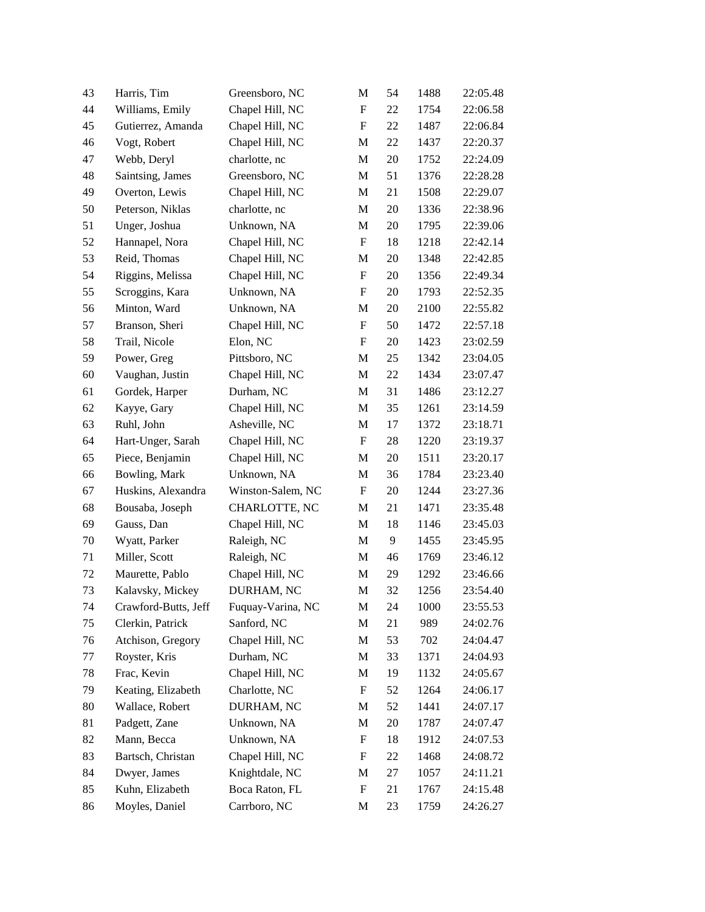| 43 | Harris, Tim          | Greensboro, NC    | M                         | 54 | 1488 | 22:05.48 |
|----|----------------------|-------------------|---------------------------|----|------|----------|
| 44 | Williams, Emily      | Chapel Hill, NC   | ${\bf F}$                 | 22 | 1754 | 22:06.58 |
| 45 | Gutierrez, Amanda    | Chapel Hill, NC   | $\boldsymbol{\mathrm{F}}$ | 22 | 1487 | 22:06.84 |
| 46 | Vogt, Robert         | Chapel Hill, NC   | M                         | 22 | 1437 | 22:20.37 |
| 47 | Webb, Deryl          | charlotte, nc     | M                         | 20 | 1752 | 22:24.09 |
| 48 | Saintsing, James     | Greensboro, NC    | M                         | 51 | 1376 | 22:28.28 |
| 49 | Overton, Lewis       | Chapel Hill, NC   | M                         | 21 | 1508 | 22:29.07 |
| 50 | Peterson, Niklas     | charlotte, nc     | M                         | 20 | 1336 | 22:38.96 |
| 51 | Unger, Joshua        | Unknown, NA       | M                         | 20 | 1795 | 22:39.06 |
| 52 | Hannapel, Nora       | Chapel Hill, NC   | $\boldsymbol{\mathrm{F}}$ | 18 | 1218 | 22:42.14 |
| 53 | Reid, Thomas         | Chapel Hill, NC   | M                         | 20 | 1348 | 22:42.85 |
| 54 | Riggins, Melissa     | Chapel Hill, NC   | F                         | 20 | 1356 | 22:49.34 |
| 55 | Scroggins, Kara      | Unknown, NA       | $\boldsymbol{\mathrm{F}}$ | 20 | 1793 | 22:52.35 |
| 56 | Minton, Ward         | Unknown, NA       | M                         | 20 | 2100 | 22:55.82 |
| 57 | Branson, Sheri       | Chapel Hill, NC   | $\boldsymbol{\mathrm{F}}$ | 50 | 1472 | 22:57.18 |
| 58 | Trail, Nicole        | Elon, NC          | ${\bf F}$                 | 20 | 1423 | 23:02.59 |
| 59 | Power, Greg          | Pittsboro, NC     | M                         | 25 | 1342 | 23:04.05 |
| 60 | Vaughan, Justin      | Chapel Hill, NC   | M                         | 22 | 1434 | 23:07.47 |
| 61 | Gordek, Harper       | Durham, NC        | M                         | 31 | 1486 | 23:12.27 |
| 62 | Kayye, Gary          | Chapel Hill, NC   | M                         | 35 | 1261 | 23:14.59 |
| 63 | Ruhl, John           | Asheville, NC     | M                         | 17 | 1372 | 23:18.71 |
| 64 | Hart-Unger, Sarah    | Chapel Hill, NC   | F                         | 28 | 1220 | 23:19.37 |
| 65 | Piece, Benjamin      | Chapel Hill, NC   | M                         | 20 | 1511 | 23:20.17 |
| 66 | Bowling, Mark        | Unknown, NA       | M                         | 36 | 1784 | 23:23.40 |
| 67 | Huskins, Alexandra   | Winston-Salem, NC | ${\rm F}$                 | 20 | 1244 | 23:27.36 |
| 68 | Bousaba, Joseph      | CHARLOTTE, NC     | M                         | 21 | 1471 | 23:35.48 |
| 69 | Gauss, Dan           | Chapel Hill, NC   | M                         | 18 | 1146 | 23:45.03 |
| 70 | Wyatt, Parker        | Raleigh, NC       | M                         | 9  | 1455 | 23:45.95 |
| 71 | Miller, Scott        | Raleigh, NC       | M                         | 46 | 1769 | 23:46.12 |
| 72 | Maurette, Pablo      | Chapel Hill, NC   | M                         | 29 | 1292 | 23:46.66 |
| 73 | Kalavsky, Mickey     | DURHAM, NC        | M                         | 32 | 1256 | 23:54.40 |
| 74 | Crawford-Butts, Jeff | Fuquay-Varina, NC | M                         | 24 | 1000 | 23:55.53 |
| 75 | Clerkin, Patrick     | Sanford, NC       | M                         | 21 | 989  | 24:02.76 |
| 76 | Atchison, Gregory    | Chapel Hill, NC   | M                         | 53 | 702  | 24:04.47 |
| 77 | Royster, Kris        | Durham, NC        | M                         | 33 | 1371 | 24:04.93 |
| 78 | Frac, Kevin          | Chapel Hill, NC   | M                         | 19 | 1132 | 24:05.67 |
| 79 | Keating, Elizabeth   | Charlotte, NC     | $\boldsymbol{F}$          | 52 | 1264 | 24:06.17 |
| 80 | Wallace, Robert      | DURHAM, NC        | M                         | 52 | 1441 | 24:07.17 |
| 81 | Padgett, Zane        | Unknown, NA       | M                         | 20 | 1787 | 24:07.47 |
| 82 | Mann, Becca          | Unknown, NA       | F                         | 18 | 1912 | 24:07.53 |
| 83 | Bartsch, Christan    | Chapel Hill, NC   | F                         | 22 | 1468 | 24:08.72 |
| 84 | Dwyer, James         | Knightdale, NC    | M                         | 27 | 1057 | 24:11.21 |
| 85 | Kuhn, Elizabeth      | Boca Raton, FL    | $\boldsymbol{\mathrm{F}}$ | 21 | 1767 | 24:15.48 |
| 86 | Moyles, Daniel       | Carrboro, NC      | M                         | 23 | 1759 | 24:26.27 |
|    |                      |                   |                           |    |      |          |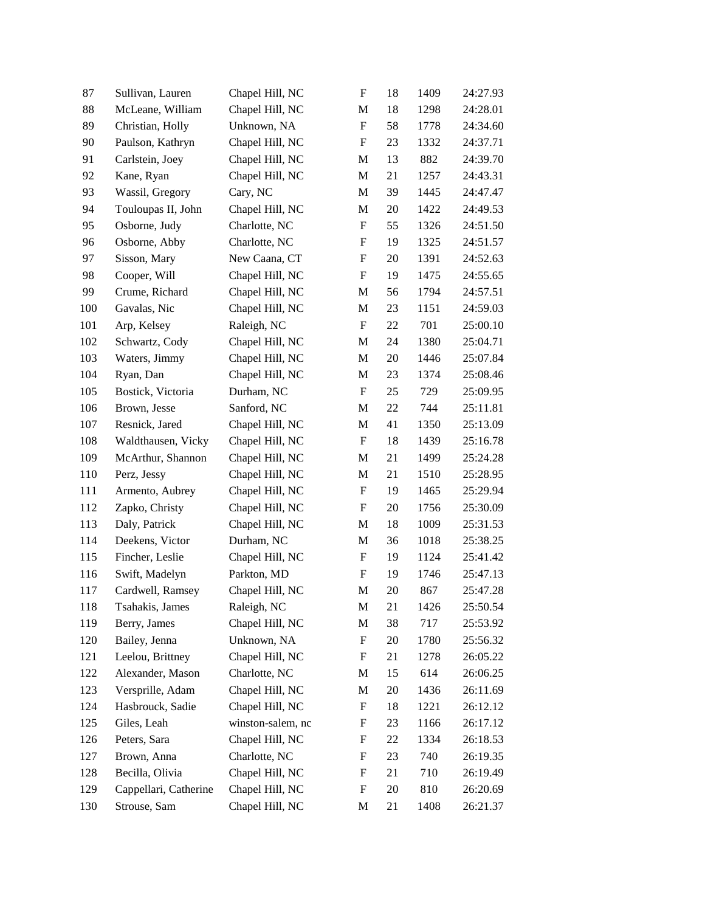| 87  | Sullivan, Lauren      | Chapel Hill, NC   | $\boldsymbol{\mathrm{F}}$ | 18 | 1409 | 24:27.93 |
|-----|-----------------------|-------------------|---------------------------|----|------|----------|
| 88  | McLeane, William      | Chapel Hill, NC   | $\mathbf M$               | 18 | 1298 | 24:28.01 |
| 89  | Christian, Holly      | Unknown, NA       | $\boldsymbol{\mathrm{F}}$ | 58 | 1778 | 24:34.60 |
| 90  | Paulson, Kathryn      | Chapel Hill, NC   | $\mathbf F$               | 23 | 1332 | 24:37.71 |
| 91  | Carlstein, Joey       | Chapel Hill, NC   | M                         | 13 | 882  | 24:39.70 |
| 92  | Kane, Ryan            | Chapel Hill, NC   | M                         | 21 | 1257 | 24:43.31 |
| 93  | Wassil, Gregory       | Cary, NC          | M                         | 39 | 1445 | 24:47.47 |
| 94  | Touloupas II, John    | Chapel Hill, NC   | M                         | 20 | 1422 | 24:49.53 |
| 95  | Osborne, Judy         | Charlotte, NC     | $\mathbf F$               | 55 | 1326 | 24:51.50 |
| 96  | Osborne, Abby         | Charlotte, NC     | $\mathbf F$               | 19 | 1325 | 24:51.57 |
| 97  | Sisson, Mary          | New Caana, CT     | $\boldsymbol{\mathrm{F}}$ | 20 | 1391 | 24:52.63 |
| 98  | Cooper, Will          | Chapel Hill, NC   | F                         | 19 | 1475 | 24:55.65 |
| 99  | Crume, Richard        | Chapel Hill, NC   | M                         | 56 | 1794 | 24:57.51 |
| 100 | Gavalas, Nic          | Chapel Hill, NC   | M                         | 23 | 1151 | 24:59.03 |
| 101 | Arp, Kelsey           | Raleigh, NC       | $\mathbf F$               | 22 | 701  | 25:00.10 |
| 102 | Schwartz, Cody        | Chapel Hill, NC   | M                         | 24 | 1380 | 25:04.71 |
| 103 | Waters, Jimmy         | Chapel Hill, NC   | M                         | 20 | 1446 | 25:07.84 |
| 104 | Ryan, Dan             | Chapel Hill, NC   | M                         | 23 | 1374 | 25:08.46 |
| 105 | Bostick, Victoria     | Durham, NC        | $\mathbf F$               | 25 | 729  | 25:09.95 |
| 106 | Brown, Jesse          | Sanford, NC       | M                         | 22 | 744  | 25:11.81 |
| 107 | Resnick, Jared        | Chapel Hill, NC   | M                         | 41 | 1350 | 25:13.09 |
| 108 | Waldthausen, Vicky    | Chapel Hill, NC   | F                         | 18 | 1439 | 25:16.78 |
| 109 | McArthur, Shannon     | Chapel Hill, NC   | M                         | 21 | 1499 | 25:24.28 |
| 110 | Perz, Jessy           | Chapel Hill, NC   | M                         | 21 | 1510 | 25:28.95 |
| 111 | Armento, Aubrey       | Chapel Hill, NC   | $\mathbf F$               | 19 | 1465 | 25:29.94 |
| 112 | Zapko, Christy        | Chapel Hill, NC   | F                         | 20 | 1756 | 25:30.09 |
| 113 | Daly, Patrick         | Chapel Hill, NC   | M                         | 18 | 1009 | 25:31.53 |
| 114 | Deekens, Victor       | Durham, NC        | M                         | 36 | 1018 | 25:38.25 |
| 115 | Fincher, Leslie       | Chapel Hill, NC   | $\mathbf F$               | 19 | 1124 | 25:41.42 |
| 116 | Swift, Madelyn        | Parkton, MD       | $\mathbf F$               | 19 | 1746 | 25:47.13 |
| 117 | Cardwell, Ramsey      | Chapel Hill, NC   | M                         | 20 | 867  | 25:47.28 |
| 118 | Tsahakis, James       | Raleigh, NC       | M                         | 21 | 1426 | 25:50.54 |
| 119 | Berry, James          | Chapel Hill, NC   | M                         | 38 | 717  | 25:53.92 |
| 120 | Bailey, Jenna         | Unknown, NA       | $\boldsymbol{F}$          | 20 | 1780 | 25:56.32 |
| 121 | Leelou, Brittney      | Chapel Hill, NC   | F                         | 21 | 1278 | 26:05.22 |
| 122 | Alexander, Mason      | Charlotte, NC     | M                         | 15 | 614  | 26:06.25 |
| 123 | Versprille, Adam      | Chapel Hill, NC   | M                         | 20 | 1436 | 26:11.69 |
| 124 | Hasbrouck, Sadie      | Chapel Hill, NC   | $\boldsymbol{\mathrm{F}}$ | 18 | 1221 | 26:12.12 |
| 125 | Giles, Leah           | winston-salem, nc | $\boldsymbol{F}$          | 23 | 1166 | 26:17.12 |
| 126 | Peters, Sara          | Chapel Hill, NC   | F                         | 22 | 1334 | 26:18.53 |
| 127 | Brown, Anna           | Charlotte, NC     | $\boldsymbol{F}$          | 23 | 740  | 26:19.35 |
| 128 | Becilla, Olivia       | Chapel Hill, NC   | $\boldsymbol{F}$          | 21 | 710  | 26:19.49 |
| 129 | Cappellari, Catherine | Chapel Hill, NC   | F                         | 20 | 810  | 26:20.69 |
| 130 | Strouse, Sam          | Chapel Hill, NC   | M                         | 21 | 1408 | 26:21.37 |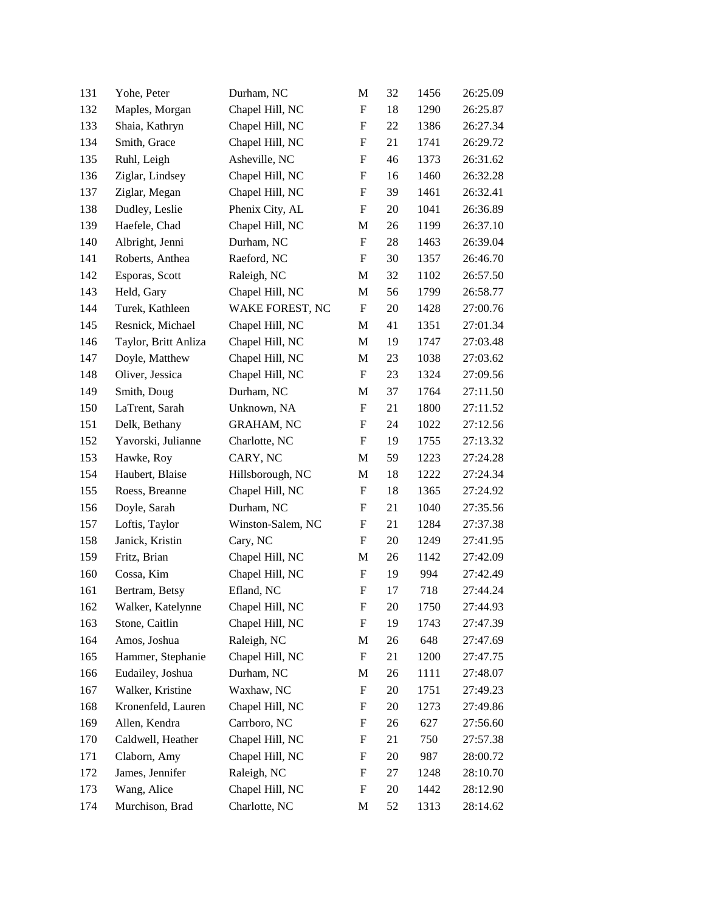| 131 | Yohe, Peter          | Durham, NC        | M                         | 32 | 1456 | 26:25.09 |
|-----|----------------------|-------------------|---------------------------|----|------|----------|
| 132 | Maples, Morgan       | Chapel Hill, NC   | ${\bf F}$                 | 18 | 1290 | 26:25.87 |
| 133 | Shaia, Kathryn       | Chapel Hill, NC   | $\boldsymbol{\mathrm{F}}$ | 22 | 1386 | 26:27.34 |
| 134 | Smith, Grace         | Chapel Hill, NC   | ${\rm F}$                 | 21 | 1741 | 26:29.72 |
| 135 | Ruhl, Leigh          | Asheville, NC     | F                         | 46 | 1373 | 26:31.62 |
| 136 | Ziglar, Lindsey      | Chapel Hill, NC   | ${\bf F}$                 | 16 | 1460 | 26:32.28 |
| 137 | Ziglar, Megan        | Chapel Hill, NC   | F                         | 39 | 1461 | 26:32.41 |
| 138 | Dudley, Leslie       | Phenix City, AL   | ${\bf F}$                 | 20 | 1041 | 26:36.89 |
| 139 | Haefele, Chad        | Chapel Hill, NC   | M                         | 26 | 1199 | 26:37.10 |
| 140 | Albright, Jenni      | Durham, NC        | ${\bf F}$                 | 28 | 1463 | 26:39.04 |
| 141 | Roberts, Anthea      | Raeford, NC       | ${\bf F}$                 | 30 | 1357 | 26:46.70 |
| 142 | Esporas, Scott       | Raleigh, NC       | M                         | 32 | 1102 | 26:57.50 |
| 143 | Held, Gary           | Chapel Hill, NC   | $\mathbf M$               | 56 | 1799 | 26:58.77 |
| 144 | Turek, Kathleen      | WAKE FOREST, NC   | $\boldsymbol{\mathrm{F}}$ | 20 | 1428 | 27:00.76 |
| 145 | Resnick, Michael     | Chapel Hill, NC   | M                         | 41 | 1351 | 27:01.34 |
| 146 | Taylor, Britt Anliza | Chapel Hill, NC   | M                         | 19 | 1747 | 27:03.48 |
| 147 | Doyle, Matthew       | Chapel Hill, NC   | M                         | 23 | 1038 | 27:03.62 |
| 148 | Oliver, Jessica      | Chapel Hill, NC   | ${\bf F}$                 | 23 | 1324 | 27:09.56 |
| 149 | Smith, Doug          | Durham, NC        | M                         | 37 | 1764 | 27:11.50 |
| 150 | LaTrent, Sarah       | Unknown, NA       | $\boldsymbol{\mathrm{F}}$ | 21 | 1800 | 27:11.52 |
| 151 | Delk, Bethany        | <b>GRAHAM, NC</b> | F                         | 24 | 1022 | 27:12.56 |
| 152 | Yavorski, Julianne   | Charlotte, NC     | F                         | 19 | 1755 | 27:13.32 |
| 153 | Hawke, Roy           | CARY, NC          | M                         | 59 | 1223 | 27:24.28 |
| 154 | Haubert, Blaise      | Hillsborough, NC  | M                         | 18 | 1222 | 27:24.34 |
| 155 | Roess, Breanne       | Chapel Hill, NC   | $\boldsymbol{\mathrm{F}}$ | 18 | 1365 | 27:24.92 |
| 156 | Doyle, Sarah         | Durham, NC        | F                         | 21 | 1040 | 27:35.56 |
| 157 | Loftis, Taylor       | Winston-Salem, NC | F                         | 21 | 1284 | 27:37.38 |
| 158 | Janick, Kristin      | Cary, NC          | ${\bf F}$                 | 20 | 1249 | 27:41.95 |
| 159 | Fritz, Brian         | Chapel Hill, NC   | M                         | 26 | 1142 | 27:42.09 |
| 160 | Cossa, Kim           | Chapel Hill, NC   | $\boldsymbol{\mathrm{F}}$ | 19 | 994  | 27:42.49 |
| 161 | Bertram, Betsy       | Efland, NC        | F                         | 17 | 718  | 27:44.24 |
| 162 | Walker, Katelynne    | Chapel Hill, NC   | F                         | 20 | 1750 | 27:44.93 |
| 163 | Stone, Caitlin       | Chapel Hill, NC   | F                         | 19 | 1743 | 27:47.39 |
| 164 | Amos, Joshua         | Raleigh, NC       | M                         | 26 | 648  | 27:47.69 |
| 165 | Hammer, Stephanie    | Chapel Hill, NC   | F                         | 21 | 1200 | 27:47.75 |
| 166 | Eudailey, Joshua     | Durham, NC        | M                         | 26 | 1111 | 27:48.07 |
| 167 | Walker, Kristine     | Waxhaw, NC        | ${\rm F}$                 | 20 | 1751 | 27:49.23 |
| 168 | Kronenfeld, Lauren   | Chapel Hill, NC   | ${\rm F}$                 | 20 | 1273 | 27:49.86 |
| 169 | Allen, Kendra        | Carrboro, NC      | ${\rm F}$                 | 26 | 627  | 27:56.60 |
| 170 | Caldwell, Heather    | Chapel Hill, NC   | F                         | 21 | 750  | 27:57.38 |
| 171 | Claborn, Amy         | Chapel Hill, NC   | ${\rm F}$                 | 20 | 987  | 28:00.72 |
| 172 | James, Jennifer      | Raleigh, NC       | $\boldsymbol{F}$          | 27 | 1248 | 28:10.70 |
| 173 | Wang, Alice          | Chapel Hill, NC   | $\boldsymbol{F}$          | 20 | 1442 | 28:12.90 |
| 174 | Murchison, Brad      | Charlotte, NC     | M                         | 52 | 1313 | 28:14.62 |
|     |                      |                   |                           |    |      |          |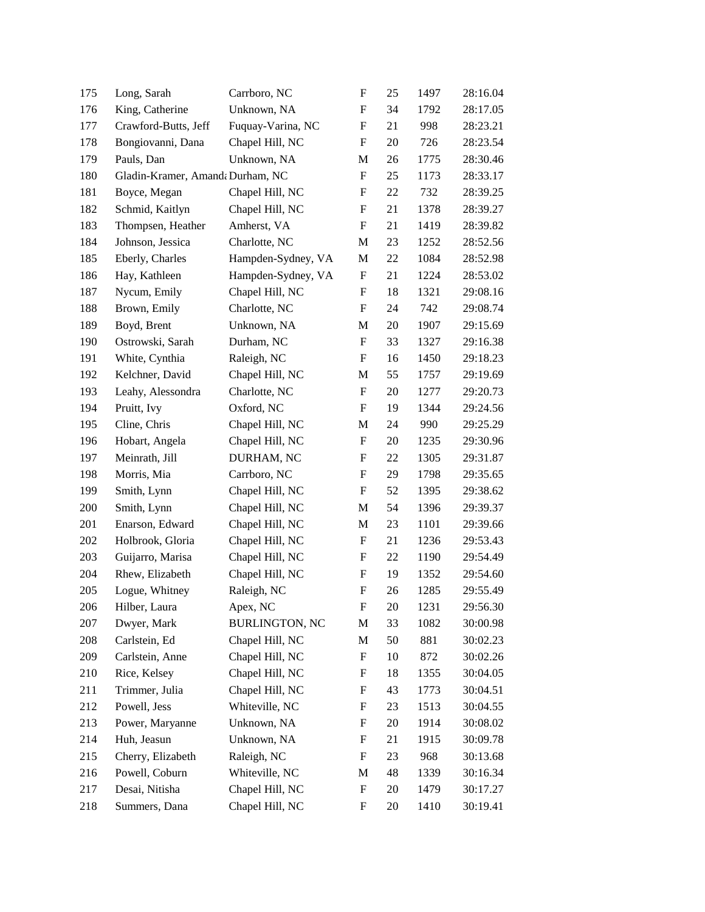| 175 | Long, Sarah                      | Carrboro, NC          | $\boldsymbol{\mathrm{F}}$ | 25     | 1497 | 28:16.04 |
|-----|----------------------------------|-----------------------|---------------------------|--------|------|----------|
| 176 | King, Catherine                  | Unknown, NA           | $\boldsymbol{\mathrm{F}}$ | 34     | 1792 | 28:17.05 |
| 177 | Crawford-Butts, Jeff             | Fuquay-Varina, NC     | $\boldsymbol{\mathrm{F}}$ | 21     | 998  | 28:23.21 |
| 178 | Bongiovanni, Dana                | Chapel Hill, NC       | $\boldsymbol{F}$          | 20     | 726  | 28:23.54 |
| 179 | Pauls, Dan                       | Unknown, NA           | M                         | 26     | 1775 | 28:30.46 |
| 180 | Gladin-Kramer, Amanda Durham, NC |                       | $\boldsymbol{\mathrm{F}}$ | 25     | 1173 | 28:33.17 |
| 181 | Boyce, Megan                     | Chapel Hill, NC       | F                         | 22     | 732  | 28:39.25 |
| 182 | Schmid, Kaitlyn                  | Chapel Hill, NC       | $\boldsymbol{\mathrm{F}}$ | 21     | 1378 | 28:39.27 |
| 183 | Thompsen, Heather                | Amherst, VA           | $\boldsymbol{F}$          | 21     | 1419 | 28:39.82 |
| 184 | Johnson, Jessica                 | Charlotte, NC         | M                         | 23     | 1252 | 28:52.56 |
| 185 | Eberly, Charles                  | Hampden-Sydney, VA    | M                         | $22\,$ | 1084 | 28:52.98 |
| 186 | Hay, Kathleen                    | Hampden-Sydney, VA    | $\boldsymbol{F}$          | 21     | 1224 | 28:53.02 |
| 187 | Nycum, Emily                     | Chapel Hill, NC       | $\boldsymbol{\mathrm{F}}$ | 18     | 1321 | 29:08.16 |
| 188 | Brown, Emily                     | Charlotte, NC         | $\mathbf F$               | 24     | 742  | 29:08.74 |
| 189 | Boyd, Brent                      | Unknown, NA           | M                         | 20     | 1907 | 29:15.69 |
| 190 | Ostrowski, Sarah                 | Durham, NC            | $\boldsymbol{\mathrm{F}}$ | 33     | 1327 | 29:16.38 |
| 191 | White, Cynthia                   | Raleigh, NC           | F                         | 16     | 1450 | 29:18.23 |
| 192 | Kelchner, David                  | Chapel Hill, NC       | M                         | 55     | 1757 | 29:19.69 |
| 193 | Leahy, Alessondra                | Charlotte, NC         | $\mathbf F$               | 20     | 1277 | 29:20.73 |
| 194 | Pruitt, Ivy                      | Oxford, NC            | F                         | 19     | 1344 | 29:24.56 |
| 195 | Cline, Chris                     | Chapel Hill, NC       | M                         | 24     | 990  | 29:25.29 |
| 196 | Hobart, Angela                   | Chapel Hill, NC       | F                         | 20     | 1235 | 29:30.96 |
| 197 | Meinrath, Jill                   | DURHAM, NC            | F                         | 22     | 1305 | 29:31.87 |
| 198 | Morris, Mia                      | Carrboro, NC          | $\boldsymbol{F}$          | 29     | 1798 | 29:35.65 |
| 199 | Smith, Lynn                      | Chapel Hill, NC       | $\mathbf F$               | 52     | 1395 | 29:38.62 |
| 200 | Smith, Lynn                      | Chapel Hill, NC       | M                         | 54     | 1396 | 29:39.37 |
| 201 | Enarson, Edward                  | Chapel Hill, NC       | M                         | 23     | 1101 | 29:39.66 |
| 202 | Holbrook, Gloria                 | Chapel Hill, NC       | F                         | 21     | 1236 | 29:53.43 |
| 203 | Guijarro, Marisa                 | Chapel Hill, NC       | $\boldsymbol{F}$          | 22     | 1190 | 29:54.49 |
| 204 | Rhew, Elizabeth                  | Chapel Hill, NC       | $\boldsymbol{F}$          | 19     | 1352 | 29:54.60 |
| 205 | Logue, Whitney                   | Raleigh, NC           | $\boldsymbol{\mathrm{F}}$ | 26     | 1285 | 29:55.49 |
| 206 | Hilber, Laura                    | Apex, NC              | F                         | 20     | 1231 | 29:56.30 |
| 207 | Dwyer, Mark                      | <b>BURLINGTON, NC</b> | M                         | 33     | 1082 | 30:00.98 |
| 208 | Carlstein, Ed                    | Chapel Hill, NC       | M                         | 50     | 881  | 30:02.23 |
| 209 | Carlstein, Anne                  | Chapel Hill, NC       | ${\rm F}$                 | 10     | 872  | 30:02.26 |
| 210 | Rice, Kelsey                     | Chapel Hill, NC       | F                         | 18     | 1355 | 30:04.05 |
| 211 | Trimmer, Julia                   | Chapel Hill, NC       | F                         | 43     | 1773 | 30:04.51 |
| 212 | Powell, Jess                     | Whiteville, NC        | F                         | 23     | 1513 | 30:04.55 |
| 213 | Power, Maryanne                  | Unknown, NA           | F                         | 20     | 1914 | 30:08.02 |
| 214 | Huh, Jeasun                      | Unknown, NA           | F                         | 21     | 1915 | 30:09.78 |
| 215 | Cherry, Elizabeth                | Raleigh, NC           | $\boldsymbol{F}$          | 23     | 968  | 30:13.68 |
| 216 | Powell, Coburn                   | Whiteville, NC        | M                         | 48     | 1339 | 30:16.34 |
| 217 | Desai, Nitisha                   | Chapel Hill, NC       | $\boldsymbol{F}$          | 20     | 1479 | 30:17.27 |
| 218 | Summers, Dana                    | Chapel Hill, NC       | F                         | 20     | 1410 | 30:19.41 |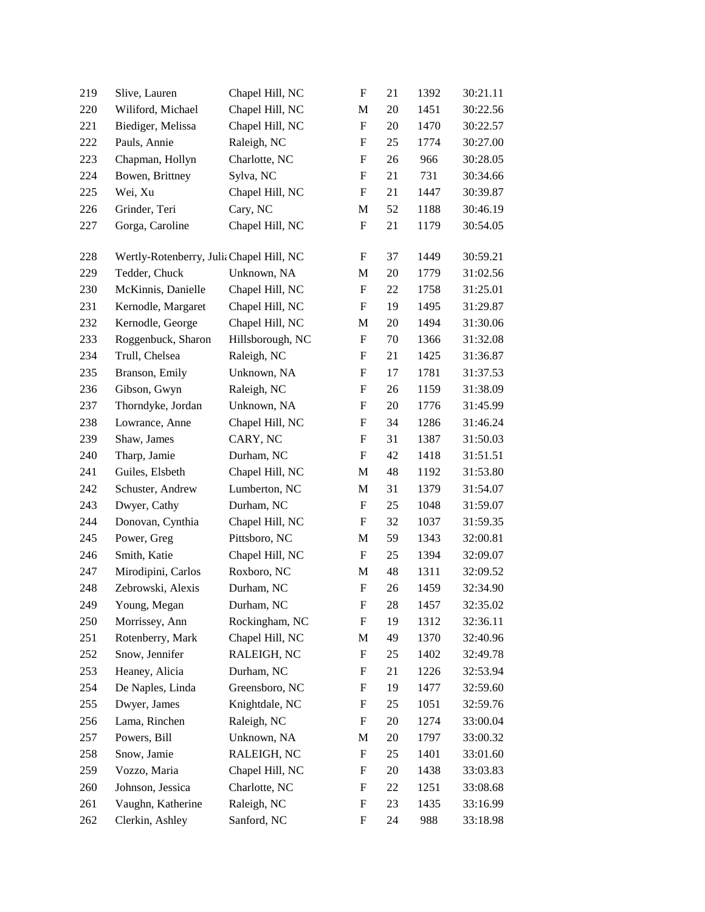| 219 | Slive, Lauren                            | Chapel Hill, NC  | $\boldsymbol{\mathrm{F}}$ | 21 | 1392 | 30:21.11 |
|-----|------------------------------------------|------------------|---------------------------|----|------|----------|
| 220 | Wiliford, Michael                        | Chapel Hill, NC  | M                         | 20 | 1451 | 30:22.56 |
| 221 | Biediger, Melissa                        | Chapel Hill, NC  | $\boldsymbol{\mathrm{F}}$ | 20 | 1470 | 30:22.57 |
| 222 | Pauls, Annie                             | Raleigh, NC      | F                         | 25 | 1774 | 30:27.00 |
| 223 | Chapman, Hollyn                          | Charlotte, NC    | $\boldsymbol{\mathrm{F}}$ | 26 | 966  | 30:28.05 |
| 224 | Bowen, Brittney                          | Sylva, NC        | $\mathbf F$               | 21 | 731  | 30:34.66 |
| 225 | Wei, Xu                                  | Chapel Hill, NC  | $\mathbf F$               | 21 | 1447 | 30:39.87 |
| 226 | Grinder, Teri                            | Cary, NC         | M                         | 52 | 1188 | 30:46.19 |
| 227 | Gorga, Caroline                          | Chapel Hill, NC  | $\mathbf F$               | 21 | 1179 | 30:54.05 |
| 228 | Wertly-Rotenberry, Juli: Chapel Hill, NC |                  | F                         | 37 | 1449 | 30:59.21 |
| 229 | Tedder, Chuck                            | Unknown, NA      | M                         | 20 | 1779 | 31:02.56 |
| 230 | McKinnis, Danielle                       | Chapel Hill, NC  | F                         | 22 | 1758 | 31:25.01 |
| 231 | Kernodle, Margaret                       | Chapel Hill, NC  | ${\bf F}$                 | 19 | 1495 | 31:29.87 |
| 232 | Kernodle, George                         | Chapel Hill, NC  | M                         | 20 | 1494 | 31:30.06 |
| 233 | Roggenbuck, Sharon                       | Hillsborough, NC | $\boldsymbol{\mathrm{F}}$ | 70 | 1366 | 31:32.08 |
| 234 | Trull, Chelsea                           | Raleigh, NC      | F                         | 21 | 1425 | 31:36.87 |
| 235 | Branson, Emily                           | Unknown, NA      | $\mathbf F$               | 17 | 1781 | 31:37.53 |
| 236 | Gibson, Gwyn                             | Raleigh, NC      | ${\bf F}$                 | 26 | 1159 | 31:38.09 |
| 237 | Thorndyke, Jordan                        | Unknown, NA      | F                         | 20 | 1776 | 31:45.99 |
| 238 | Lowrance, Anne                           | Chapel Hill, NC  | $\boldsymbol{\mathrm{F}}$ | 34 | 1286 | 31:46.24 |
| 239 | Shaw, James                              | CARY, NC         | F                         | 31 | 1387 | 31:50.03 |
| 240 | Tharp, Jamie                             | Durham, NC       | F                         | 42 | 1418 | 31:51.51 |
| 241 | Guiles, Elsbeth                          | Chapel Hill, NC  | M                         | 48 | 1192 | 31:53.80 |
| 242 | Schuster, Andrew                         | Lumberton, NC    | M                         | 31 | 1379 | 31:54.07 |
| 243 | Dwyer, Cathy                             | Durham, NC       | $\boldsymbol{\mathrm{F}}$ | 25 | 1048 | 31:59.07 |
| 244 | Donovan, Cynthia                         | Chapel Hill, NC  | $\mathbf F$               | 32 | 1037 | 31:59.35 |
| 245 | Power, Greg                              | Pittsboro, NC    | M                         | 59 | 1343 | 32:00.81 |
| 246 | Smith, Katie                             | Chapel Hill, NC  | ${\bf F}$                 | 25 | 1394 | 32:09.07 |
| 247 | Mirodipini, Carlos                       | Roxboro, NC      | M                         | 48 | 1311 | 32:09.52 |
| 248 | Zebrowski, Alexis                        | Durham, NC       | $\boldsymbol{\mathrm{F}}$ | 26 | 1459 | 32:34.90 |
| 249 | Young, Megan                             | Durham, NC       | $\mathbf F$               | 28 | 1457 | 32:35.02 |
| 250 | Morrissey, Ann                           | Rockingham, NC   | $\mathbf F$               | 19 | 1312 | 32:36.11 |
| 251 | Rotenberry, Mark                         | Chapel Hill, NC  | M                         | 49 | 1370 | 32:40.96 |
| 252 | Snow, Jennifer                           | RALEIGH, NC      | F                         | 25 | 1402 | 32:49.78 |
| 253 | Heaney, Alicia                           | Durham, NC       | F                         | 21 | 1226 | 32:53.94 |
| 254 | De Naples, Linda                         | Greensboro, NC   | F                         | 19 | 1477 | 32:59.60 |
| 255 | Dwyer, James                             | Knightdale, NC   | F                         | 25 | 1051 | 32:59.76 |
| 256 | Lama, Rinchen                            | Raleigh, NC      | $\mathbf F$               | 20 | 1274 | 33:00.04 |
| 257 | Powers, Bill                             | Unknown, NA      | M                         | 20 | 1797 | 33:00.32 |
| 258 | Snow, Jamie                              | RALEIGH, NC      | F                         | 25 | 1401 | 33:01.60 |
| 259 | Vozzo, Maria                             | Chapel Hill, NC  | $\mathbf F$               | 20 | 1438 | 33:03.83 |
| 260 | Johnson, Jessica                         | Charlotte, NC    | F                         | 22 | 1251 | 33:08.68 |
| 261 | Vaughn, Katherine                        | Raleigh, NC      | F                         | 23 | 1435 | 33:16.99 |
| 262 | Clerkin, Ashley                          | Sanford, NC      | F                         | 24 | 988  | 33:18.98 |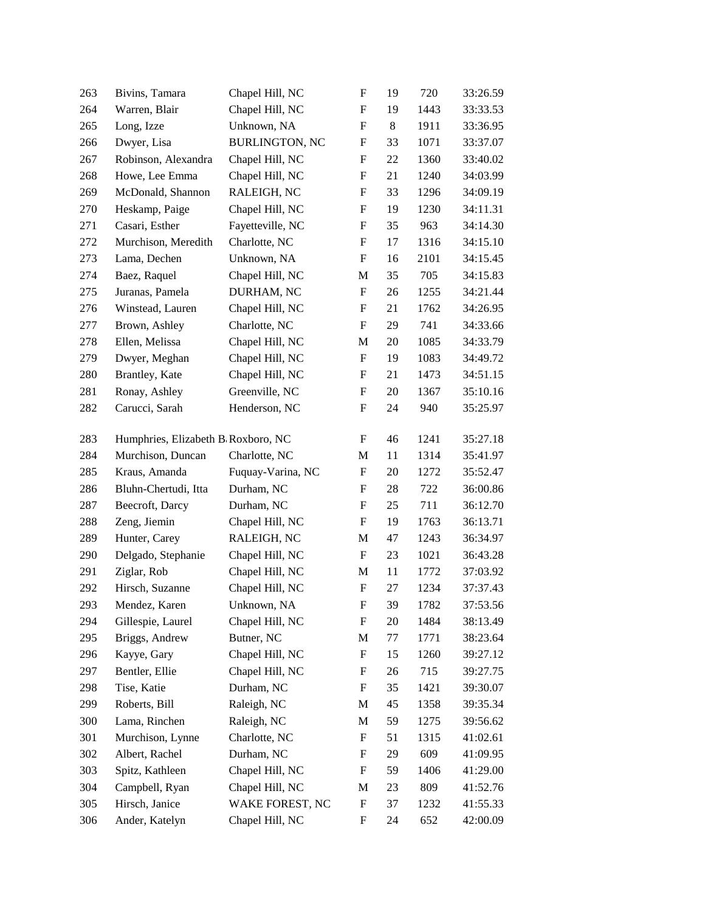| 263 | Bivins, Tamara                     | Chapel Hill, NC       | $\boldsymbol{\mathrm{F}}$ | 19 | 720  | 33:26.59 |
|-----|------------------------------------|-----------------------|---------------------------|----|------|----------|
| 264 | Warren, Blair                      | Chapel Hill, NC       | F                         | 19 | 1443 | 33:33.53 |
| 265 | Long, Izze                         | Unknown, NA           | $\boldsymbol{\mathrm{F}}$ | 8  | 1911 | 33:36.95 |
| 266 | Dwyer, Lisa                        | <b>BURLINGTON, NC</b> | $\boldsymbol{\mathrm{F}}$ | 33 | 1071 | 33:37.07 |
| 267 | Robinson, Alexandra                | Chapel Hill, NC       | F                         | 22 | 1360 | 33:40.02 |
| 268 | Howe, Lee Emma                     | Chapel Hill, NC       | $\boldsymbol{\mathrm{F}}$ | 21 | 1240 | 34:03.99 |
| 269 | McDonald, Shannon                  | RALEIGH, NC           | F                         | 33 | 1296 | 34:09.19 |
| 270 | Heskamp, Paige                     | Chapel Hill, NC       | F                         | 19 | 1230 | 34:11.31 |
| 271 | Casari, Esther                     | Fayetteville, NC      | $\boldsymbol{\mathrm{F}}$ | 35 | 963  | 34:14.30 |
| 272 | Murchison, Meredith                | Charlotte, NC         | F                         | 17 | 1316 | 34:15.10 |
| 273 | Lama, Dechen                       | Unknown, NA           | $\boldsymbol{\mathrm{F}}$ | 16 | 2101 | 34:15.45 |
| 274 | Baez, Raquel                       | Chapel Hill, NC       | M                         | 35 | 705  | 34:15.83 |
| 275 | Juranas, Pamela                    | DURHAM, NC            | F                         | 26 | 1255 | 34:21.44 |
| 276 | Winstead, Lauren                   | Chapel Hill, NC       | $\boldsymbol{\mathrm{F}}$ | 21 | 1762 | 34:26.95 |
| 277 | Brown, Ashley                      | Charlotte, NC         | F                         | 29 | 741  | 34:33.66 |
| 278 | Ellen, Melissa                     | Chapel Hill, NC       | M                         | 20 | 1085 | 34:33.79 |
| 279 | Dwyer, Meghan                      | Chapel Hill, NC       | F                         | 19 | 1083 | 34:49.72 |
| 280 | Brantley, Kate                     | Chapel Hill, NC       | $\boldsymbol{F}$          | 21 | 1473 | 34:51.15 |
| 281 | Ronay, Ashley                      | Greenville, NC        | $\boldsymbol{\mathrm{F}}$ | 20 | 1367 | 35:10.16 |
| 282 | Carucci, Sarah                     | Henderson, NC         | F                         | 24 | 940  | 35:25.97 |
| 283 | Humphries, Elizabeth B Roxboro, NC |                       | F                         | 46 | 1241 | 35:27.18 |
| 284 | Murchison, Duncan                  | Charlotte, NC         | M                         | 11 | 1314 | 35:41.97 |
| 285 | Kraus, Amanda                      | Fuquay-Varina, NC     | F                         | 20 | 1272 | 35:52.47 |
| 286 | Bluhn-Chertudi, Itta               | Durham, NC            | F                         | 28 | 722  | 36:00.86 |
| 287 | Beecroft, Darcy                    | Durham, NC            | $\boldsymbol{\mathrm{F}}$ | 25 | 711  | 36:12.70 |
| 288 | Zeng, Jiemin                       | Chapel Hill, NC       | $\boldsymbol{\mathrm{F}}$ | 19 | 1763 | 36:13.71 |
| 289 | Hunter, Carey                      | RALEIGH, NC           | M                         | 47 | 1243 | 36:34.97 |
| 290 | Delgado, Stephanie                 | Chapel Hill, NC       | F                         | 23 | 1021 | 36:43.28 |
| 291 | Ziglar, Rob                        | Chapel Hill, NC       | M                         | 11 | 1772 | 37:03.92 |
| 292 | Hirsch, Suzanne                    | Chapel Hill, NC       | $\boldsymbol{\mathrm{F}}$ | 27 | 1234 | 37:37.43 |
| 293 | Mendez, Karen                      | Unknown, NA           | F                         | 39 | 1782 | 37:53.56 |
| 294 | Gillespie, Laurel                  | Chapel Hill, NC       | F                         | 20 | 1484 | 38:13.49 |
| 295 | Briggs, Andrew                     | Butner, NC            | M                         | 77 | 1771 | 38:23.64 |
| 296 | Kayye, Gary                        | Chapel Hill, NC       | $\boldsymbol{F}$          | 15 | 1260 | 39:27.12 |
| 297 | Bentler, Ellie                     | Chapel Hill, NC       | F                         | 26 | 715  | 39:27.75 |
| 298 | Tise, Katie                        | Durham, NC            | F                         | 35 | 1421 | 39:30.07 |
| 299 | Roberts, Bill                      | Raleigh, NC           | $\mathbf M$               | 45 | 1358 | 39:35.34 |
| 300 | Lama, Rinchen                      | Raleigh, NC           | M                         | 59 | 1275 | 39:56.62 |
| 301 | Murchison, Lynne                   | Charlotte, NC         | $\boldsymbol{F}$          | 51 | 1315 | 41:02.61 |
| 302 | Albert, Rachel                     | Durham, NC            | F                         | 29 | 609  | 41:09.95 |
| 303 | Spitz, Kathleen                    | Chapel Hill, NC       | F                         | 59 | 1406 | 41:29.00 |
| 304 | Campbell, Ryan                     | Chapel Hill, NC       | M                         | 23 | 809  | 41:52.76 |
| 305 | Hirsch, Janice                     | WAKE FOREST, NC       | F                         | 37 | 1232 | 41:55.33 |
| 306 | Ander, Katelyn                     | Chapel Hill, NC       | $\boldsymbol{F}$          | 24 | 652  | 42:00.09 |